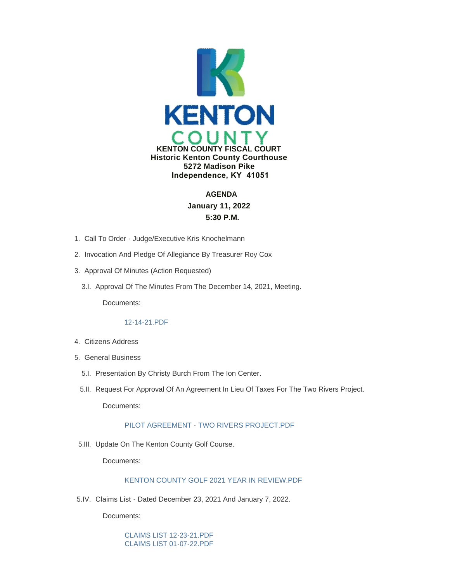

# **AGENDA January 11, 2022 5:30 P.M.**

- 1. Call To Order Judge/Executive Kris Knochelmann
- 2. Invocation And Pledge Of Allegiance By Treasurer Roy Cox
- 3. Approval Of Minutes (Action Requested)
	- 3.I. Approval Of The Minutes From The December 14, 2021, Meeting.

Documents:

# [12-14-21.PDF](https://www.kentoncounty.org/AgendaCenter/ViewFile/Item/2315?fileID=3615)

- Citizens Address 4.
- 5. General Business
	- 5.I. Presentation By Christy Burch From The Ion Center.
	- 5.II. Request For Approval Of An Agreement In Lieu Of Taxes For The Two Rivers Project.

Documents:

# [PILOT AGREEMENT - TWO RIVERS PROJECT.PDF](https://www.kentoncounty.org/AgendaCenter/ViewFile/Item/2331?fileID=3623)

5.III. Update On The Kenton County Golf Course.

Documents:

# [KENTON COUNTY GOLF 2021 YEAR IN REVIEW.PDF](https://www.kentoncounty.org/AgendaCenter/ViewFile/Item/2322?fileID=3628)

5.IV. Claims List - Dated December 23, 2021 And January 7, 2022.

Documents:

[CLAIMS LIST 12-23-21.PDF](https://www.kentoncounty.org/AgendaCenter/ViewFile/Item/2316?fileID=3610) [CLAIMS LIST 01-07-22.PDF](https://www.kentoncounty.org/AgendaCenter/ViewFile/Item/2316?fileID=3640)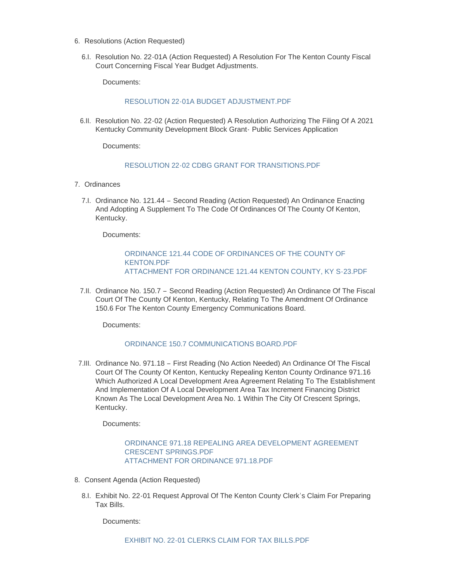- 6. Resolutions (Action Requested)
	- 6.I. Resolution No. 22-01A (Action Requested) A Resolution For The Kenton County Fiscal Court Concerning Fiscal Year Budget Adjustments.

Documents:

# [RESOLUTION 22-01A BUDGET ADJUSTMENT.PDF](https://www.kentoncounty.org/AgendaCenter/ViewFile/Item/2342?fileID=3639)

6.II. Resolution No. 22-02 (Action Requested) A Resolution Authorizing The Filing Of A 2021 Kentucky Community Development Block Grant- Public Services Application

Documents:

# [RESOLUTION 22-02 CDBG GRANT FOR TRANSITIONS.PDF](https://www.kentoncounty.org/AgendaCenter/ViewFile/Item/2339?fileID=3632)

- 7. Ordinances
	- 7.I. Ordinance No. 121.44 Second Reading (Action Requested) An Ordinance Enacting And Adopting A Supplement To The Code Of Ordinances Of The County Of Kenton, Kentucky.

Documents:

#### [ORDINANCE 121.44 CODE OF ORDINANCES OF THE COUNTY OF](https://www.kentoncounty.org/AgendaCenter/ViewFile/Item/2318?fileID=3602)  KENTON.PDF [ATTACHMENT FOR ORDINANCE 121.44 KENTON COUNTY, KY S-23.PDF](https://www.kentoncounty.org/AgendaCenter/ViewFile/Item/2318?fileID=3603)

7.II. Ordinance No. 150.7 - Second Reading (Action Requested) An Ordinance Of The Fiscal Court Of The County Of Kenton, Kentucky, Relating To The Amendment Of Ordinance 150.6 For The Kenton County Emergency Communications Board.

Documents:

# [ORDINANCE 150.7 COMMUNICATIONS BOARD.PDF](https://www.kentoncounty.org/AgendaCenter/ViewFile/Item/2319?fileID=3605)

7.III. Ordinance No. 971.18 - First Reading (No Action Needed) An Ordinance Of The Fiscal Court Of The County Of Kenton, Kentucky Repealing Kenton County Ordinance 971.16 Which Authorized A Local Development Area Agreement Relating To The Establishment And Implementation Of A Local Development Area Tax Increment Financing District Known As The Local Development Area No. 1 Within The City Of Crescent Springs, Kentucky.

Documents:

# [ORDINANCE 971.18 REPEALING AREA DEVELOPMENT AGREEMENT](https://www.kentoncounty.org/AgendaCenter/ViewFile/Item/2332?fileID=3624)  CRESCENT SPRINGS.PDF [ATTACHMENT FOR ORDINANCE 971.18.PDF](https://www.kentoncounty.org/AgendaCenter/ViewFile/Item/2332?fileID=3625)

- 8. Consent Agenda (Action Requested)
	- Exhibit No. 22-01 Request Approval Of The Kenton County Clerk's Claim For Preparing 8.I. Tax Bills.

Documents: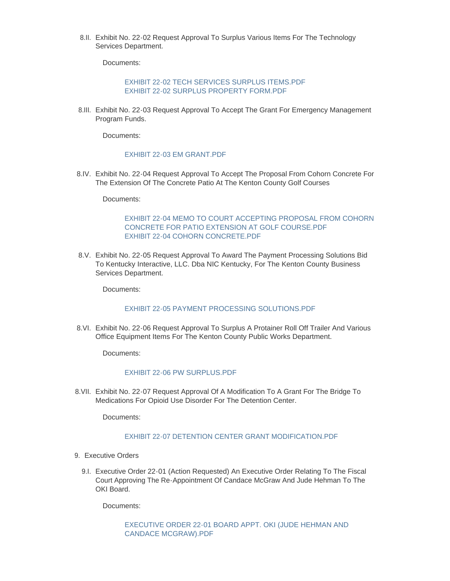Exhibit No. 22-02 Request Approval To Surplus Various Items For The Technology 8.II. Services Department.

Documents:

[EXHIBIT 22-02 TECH SERVICES SURPLUS ITEMS.PDF](https://www.kentoncounty.org/AgendaCenter/ViewFile/Item/2327?fileID=3617) [EXHIBIT 22-02 SURPLUS PROPERTY FORM.PDF](https://www.kentoncounty.org/AgendaCenter/ViewFile/Item/2327?fileID=3616)

Exhibit No. 22-03 Request Approval To Accept The Grant For Emergency Management 8.III. Program Funds.

Documents:

#### [EXHIBIT 22-03 EM GRANT.PDF](https://www.kentoncounty.org/AgendaCenter/ViewFile/Item/2328?fileID=3618)

Exhibit No. 22-04 Request Approval To Accept The Proposal From Cohorn Concrete For 8.IV. The Extension Of The Concrete Patio At The Kenton County Golf Courses

Documents:

### [EXHIBIT 22-04 MEMO TO COURT ACCEPTING PROPOSAL FROM COHORN](https://www.kentoncounty.org/AgendaCenter/ViewFile/Item/2330?fileID=3620)  CONCRETE FOR PATIO EXTENSION AT GOLF COURSE.PDF [EXHIBIT 22-04 COHORN CONCRETE.PDF](https://www.kentoncounty.org/AgendaCenter/ViewFile/Item/2330?fileID=3619)

Exhibit No. 22-05 Request Approval To Award The Payment Processing Solutions Bid 8.V. To Kentucky Interactive, LLC. Dba NIC Kentucky, For The Kenton County Business Services Department.

Documents:

#### [EXHIBIT 22-05 PAYMENT PROCESSING SOLUTIONS.PDF](https://www.kentoncounty.org/AgendaCenter/ViewFile/Item/2333?fileID=3626)

Exhibit No. 22-06 Request Approval To Surplus A Protainer Roll Off Trailer And Various 8.VI. Office Equipment Items For The Kenton County Public Works Department.

Documents:

#### [EXHIBIT 22-06 PW SURPLUS.PDF](https://www.kentoncounty.org/AgendaCenter/ViewFile/Item/2334?fileID=3627)

8.VII. Exhibit No. 22-07 Request Approval Of A Modification To A Grant For The Bridge To Medications For Opioid Use Disorder For The Detention Center.

Documents:

### [EXHIBIT 22-07 DETENTION CENTER GRANT MODIFICATION.PDF](https://www.kentoncounty.org/AgendaCenter/ViewFile/Item/2366?fileID=3648)

- 9. Executive Orders
	- Executive Order 22-01 (Action Requested) An Executive Order Relating To The Fiscal 9.I. Court Approving The Re-Appointment Of Candace McGraw And Jude Hehman To The OKI Board.

Documents:

[EXECUTIVE ORDER 22-01 BOARD APPT. OKI \(JUDE HEHMAN AND](https://www.kentoncounty.org/AgendaCenter/ViewFile/Item/2324?fileID=3611)  CANDACE MCGRAW).PDF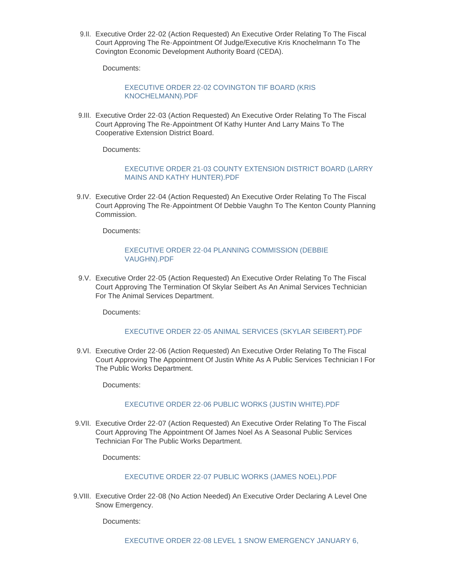9.II. Executive Order 22-02 (Action Requested) An Executive Order Relating To The Fiscal Court Approving The Re-Appointment Of Judge/Executive Kris Knochelmann To The Covington Economic Development Authority Board (CEDA).

Documents:

# [EXECUTIVE ORDER 22-02 COVINGTON TIF BOARD \(KRIS](https://www.kentoncounty.org/AgendaCenter/ViewFile/Item/2325?fileID=3612)  KNOCHELMANN).PDF

9.III. Executive Order 22-03 (Action Requested) An Executive Order Relating To The Fiscal Court Approving The Re-Appointment Of Kathy Hunter And Larry Mains To The Cooperative Extension District Board.

Documents:

# [EXECUTIVE ORDER 21-03 COUNTY EXTENSION DISTRICT BOARD \(LARRY](https://www.kentoncounty.org/AgendaCenter/ViewFile/Item/2326?fileID=3613)  MAINS AND KATHY HUNTER).PDF

9.IV. Executive Order 22-04 (Action Requested) An Executive Order Relating To The Fiscal Court Approving The Re-Appointment Of Debbie Vaughn To The Kenton County Planning Commission.

Documents:

# [EXECUTIVE ORDER 22-04 PLANNING COMMISSION \(DEBBIE](https://www.kentoncounty.org/AgendaCenter/ViewFile/Item/2329?fileID=3621)  VAUGHN).PDF

9.V. Executive Order 22-05 (Action Requested) An Executive Order Relating To The Fiscal Court Approving The Termination Of Skylar Seibert As An Animal Services Technician For The Animal Services Department.

Documents:

# [EXECUTIVE ORDER 22-05 ANIMAL SERVICES \(SKYLAR SEIBERT\).PDF](https://www.kentoncounty.org/AgendaCenter/ViewFile/Item/2335?fileID=3630)

9.VI. Executive Order 22-06 (Action Requested) An Executive Order Relating To The Fiscal Court Approving The Appointment Of Justin White As A Public Services Technician I For The Public Works Department.

Documents:

# [EXECUTIVE ORDER 22-06 PUBLIC WORKS \(JUSTIN WHITE\).PDF](https://www.kentoncounty.org/AgendaCenter/ViewFile/Item/2336?fileID=3638)

9.VII. Executive Order 22-07 (Action Requested) An Executive Order Relating To The Fiscal Court Approving The Appointment Of James Noel As A Seasonal Public Services Technician For The Public Works Department.

Documents:

# [EXECUTIVE ORDER 22-07 PUBLIC WORKS \(JAMES NOEL\).PDF](https://www.kentoncounty.org/AgendaCenter/ViewFile/Item/2337?fileID=3633)

9. VIII. Executive Order 22-08 (No Action Needed) An Executive Order Declaring A Level One Snow Emergency.

Documents: